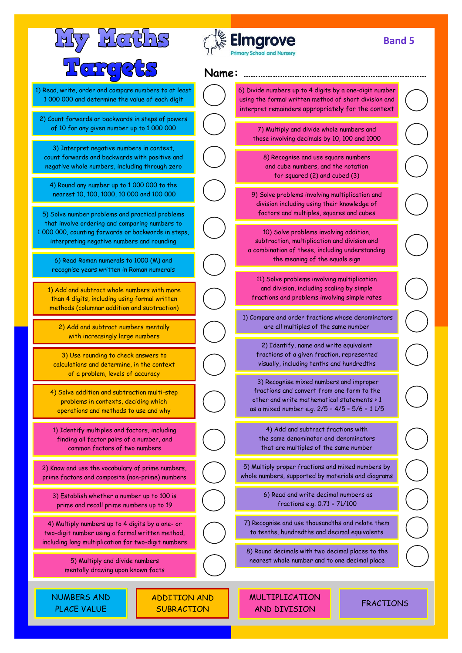| <u>Lictles</u>                                                                                                                                                                                                                                   |                                   |       | <b>Elmgrove</b><br><b>Primary School and Nursery</b>                                                                                                                                  | <b>Band 5</b>    |  |
|--------------------------------------------------------------------------------------------------------------------------------------------------------------------------------------------------------------------------------------------------|-----------------------------------|-------|---------------------------------------------------------------------------------------------------------------------------------------------------------------------------------------|------------------|--|
| <b>of for 2</b>                                                                                                                                                                                                                                  |                                   | Name: |                                                                                                                                                                                       |                  |  |
| 1) Read, write, order and compare numbers to at least<br>1 000 000 and determine the value of each digit                                                                                                                                         |                                   |       | 6) Divide numbers up to 4 digits by a one-digit number<br>using the formal written method of short division and<br>interpret remainders appropriately for the context                 |                  |  |
| 2) Count forwards or backwards in steps of powers<br>of 10 for any given number up to 1 000 000                                                                                                                                                  |                                   |       | 7) Multiply and divide whole numbers and<br>those involving decimals by 10, 100 and 1000                                                                                              |                  |  |
| 3) Interpret negative numbers in context,<br>count forwards and backwards with positive and<br>negative whole numbers, including through zero                                                                                                    |                                   |       | 8) Recognise and use square numbers<br>and cube numbers, and the notation<br>for squared (2) and cubed (3)                                                                            |                  |  |
| 4) Round any number up to 1 000 000 to the<br>nearest 10, 100, 1000, 10 000 and 100 000                                                                                                                                                          |                                   |       | 9) Solve problems involving multiplication and<br>division including using their knowledge of<br>factors and multiples, squares and cubes                                             |                  |  |
| 5) Solve number problems and practical problems<br>that involve ordering and comparing numbers to<br>1 000 000, counting forwards or backwards in steps,<br>interpreting negative numbers and rounding<br>6) Read Roman numerals to 1000 (M) and |                                   |       | 10) Solve problems involving addition,<br>subtraction, multiplication and division and<br>a combination of these, including understanding<br>the meaning of the equals sign           |                  |  |
| recognise years written in Roman numerals<br>1) Add and subtract whole numbers with more<br>than 4 digits, including using formal written<br>methods (columnar addition and subtraction)                                                         |                                   |       | 11) Solve problems involving multiplication<br>and division, including scaling by simple<br>fractions and problems involving simple rates                                             |                  |  |
| 2) Add and subtract numbers mentally<br>with increasingly large numbers                                                                                                                                                                          |                                   |       | 1) Compare and order fractions whose denominators<br>are all multiples of the same number                                                                                             |                  |  |
| 3) Use rounding to check answers to<br>calculations and determine, in the context<br>of a problem, levels of accuracy                                                                                                                            |                                   |       | 2) Identify, name and write equivalent<br>fractions of a given fraction, represented<br>visually, including tenths and hundredths                                                     |                  |  |
| 4) Solve addition and subtraction multi-step<br>problems in contexts, deciding which<br>operations and methods to use and why                                                                                                                    |                                   |       | 3) Recognise mixed numbers and improper<br>fractions and convert from one form to the<br>other and write mathematical statements > 1<br>as a mixed number e.g. 2/5 + 4/5 = 5/6 = 11/5 |                  |  |
| 1) Identify multiples and factors, including<br>finding all factor pairs of a number, and<br>common factors of two numbers                                                                                                                       |                                   |       | 4) Add and subtract fractions with<br>the same denominator and denominators<br>that are multiples of the same number                                                                  |                  |  |
| 2) Know and use the vocabulary of prime numbers,<br>prime factors and composite (non-prime) numbers                                                                                                                                              |                                   |       | 5) Multiply proper fractions and mixed numbers by<br>whole numbers, supported by materials and diagrams                                                                               |                  |  |
| 3) Establish whether a number up to 100 is<br>prime and recall prime numbers up to 19                                                                                                                                                            |                                   |       | 6) Read and write decimal numbers as<br>fractions e.g. 0.71 = 71/100                                                                                                                  |                  |  |
| 4) Multiply numbers up to 4 digits by a one- or<br>two-digit number using a formal written method,<br>including long multiplication for two-digit numbers                                                                                        |                                   |       | 7) Recognise and use thousandths and relate them<br>to tenths, hundredths and decimal equivalents                                                                                     |                  |  |
| 5) Multiply and divide numbers<br>mentally drawing upon known facts                                                                                                                                                                              |                                   |       | 8) Round decimals with two decimal places to the<br>nearest whole number and to one decimal place                                                                                     |                  |  |
| <b>NUMBERS AND</b><br><b>PLACE VALUE</b>                                                                                                                                                                                                         | ADDITION AND<br><b>SUBRACTION</b> |       | <b>MULTIPLICATION</b><br>AND DIVISION                                                                                                                                                 | <b>FRACTIONS</b> |  |